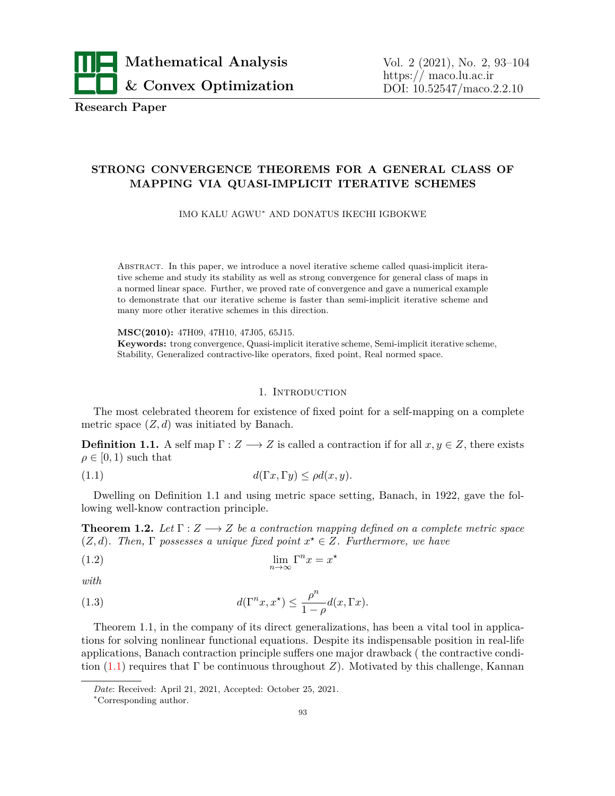

**Research Paper**

# **STRONG CONVERGENCE THEOREMS FOR A GENERAL CLASS OF MAPPING VIA QUASI-IMPLICIT ITERATIVE SCHEMES**

IMO KALU AGWU*<sup>∗</sup>* AND DONATUS IKECHI IGBOKWE

Abstract. In this paper, we introduce a novel iterative scheme called quasi-implicit iterative scheme and study its stability as well as strong convergence for general class of maps in a normed linear space. Further, we proved rate of convergence and gave a numerical example to demonstrate that our iterative scheme is faster than semi-implicit iterative scheme and many more other iterative schemes in this direction.

**MSC(2010):** 47H09, 47H10, 47J05, 65J15. **Keywords:** trong convergence, Quasi-implicit iterative scheme, Semi-implicit iterative scheme, Stability, Generalized contractive-like operators, fixed point, Real normed space.

### <span id="page-0-0"></span>1. Introduction

The most celebrated theorem for existence of fixed point for a self-mapping on a complete metric space  $(Z, d)$  was initiated by Banach.

**Definition 1.1.** A self map  $\Gamma: Z \longrightarrow Z$  is called a contraction if for all  $x, y \in Z$ , there exists  $\rho \in [0, 1)$  such that

(1.1) 
$$
d(\Gamma x, \Gamma y) \le \rho d(x, y).
$$

Dwelling on Definition 1.1 and using metric space setting, Banach, in 1922, gave the following well-know contraction principle.

**Theorem 1.2.** Let  $\Gamma: Z \longrightarrow Z$  be a contraction mapping defined on a complete metric space  $(Z, d)$ *. Then,*  $\Gamma$  *possesses a unique fixed point*  $x^* \in Z$ *. Furthermore, we have* 

(1.2) 
$$
\lim_{n \to \infty} \Gamma^n x = x^*
$$

*with*

(1.3) 
$$
d(\Gamma^n x, x^*) \leq \frac{\rho^n}{1-\rho}d(x, \Gamma x).
$$

Theorem 1.1, in the company of its direct generalizations, has been a vital tool in applications for solving nonlinear functional equations. Despite its indispensable position in real-life applications, Banach contraction principle suffers one major drawback ( the contractive condition  $(1.1)$  $(1.1)$  requires that  $\Gamma$  be continuous throughout *Z*). Motivated by this challenge, Kannan

*Date*: Received: April 21, 2021, Accepted: October 25, 2021.

*<sup>∗</sup>*Corresponding author.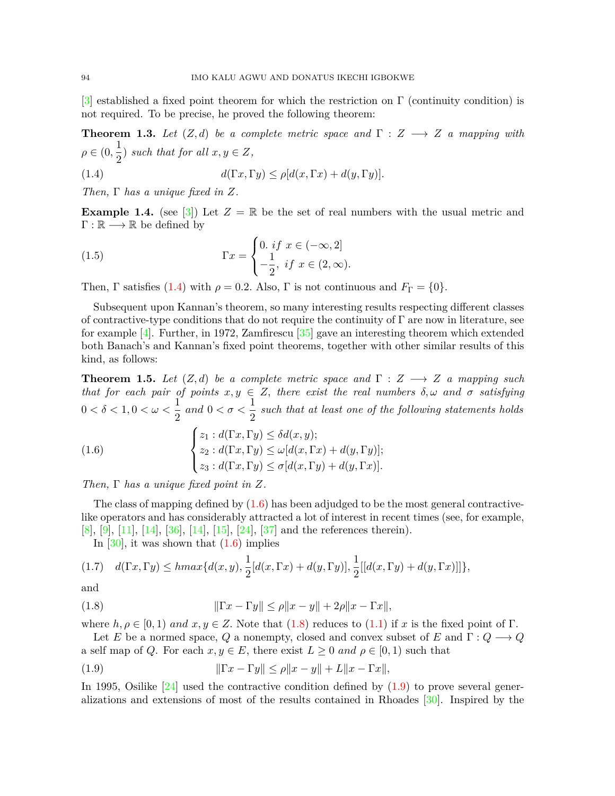[\[3](#page-9-0)] established a fixed point theorem for which the restriction on Γ (continuity condition) is not required. To be precise, he proved the following theorem:

**Theorem 1.3.** Let  $(Z, d)$  be a complete metric space and  $\Gamma : Z \longrightarrow Z$  a mapping with  $\rho \in (0, \frac{1}{2})$  $\frac{1}{2}$ *)* such that for all  $x, y \in Z$ ,

<span id="page-1-0"></span>(1.4) 
$$
d(\Gamma x, \Gamma y) \le \rho [d(x, \Gamma x) + d(y, \Gamma y)].
$$

*Then,* Γ *has a unique fixed in Z.*

**Example 1.4.** (see [[3](#page-9-0)]) Let  $Z = \mathbb{R}$  be the set of real numbers with the usual metric and Γ : R *−→* R be defined by

(1.5) 
$$
\Gamma x = \begin{cases} 0. \text{ if } x \in (-\infty, 2] \\ -\frac{1}{2}, \text{ if } x \in (2, \infty). \end{cases}
$$

Then, Γ satisfies [\(1.4](#page-1-0)) with  $\rho = 0.2$ . Also, Γ is not continuous and  $F_{\Gamma} = \{0\}.$ 

Subsequent upon Kannan's theorem, so many interesting results respecting different classes of contractive-type conditions that do not require the continuity of  $\Gamma$  are now in literature, see for example [\[4\]](#page-9-1). Further, in 1972, Zamfirescu  $\left[35\right]$  gave an interesting theorem which extended both Banach's and Kannan's fixed point theorems, together with other similar results of this kind, as follows:

**Theorem 1.5.** Let  $(Z, d)$  be a complete metric space and  $\Gamma : Z \longrightarrow Z$  a mapping such *that for each pair of points*  $x, y \in Z$ , *there exist the real numbers*  $\delta, \omega$  *and*  $\sigma$  *satisfying*  $0 < \delta < 1, 0 < \omega < \frac{1}{2}$  $\frac{1}{2}$  and  $0 < \sigma < \frac{1}{2}$  $\frac{1}{2}$  such that at least one of the following statements holds

<span id="page-1-1"></span>(1.6) 
$$
\begin{cases} z_1 : d(\Gamma x, \Gamma y) \leq \delta d(x, y); \\ z_2 : d(\Gamma x, \Gamma y) \leq \omega [d(x, \Gamma x) + d(y, \Gamma y)]; \\ z_3 : d(\Gamma x, \Gamma y) \leq \sigma [d(x, \Gamma y) + d(y, \Gamma x)]. \end{cases}
$$

*Then,* Γ *has a unique fixed point in Z.*

The class of mapping defined by  $(1.6)$  $(1.6)$  has been adjudged to be the most general contractivelike operators and has considerably attracted a lot of interest in recent times (see, for example, [\[8](#page-9-2)], [\[9\]](#page-9-3), [\[11](#page-10-1)], [\[14\]](#page-10-2), [[36\]](#page-10-3), [\[14](#page-10-2)], [[15\]](#page-10-4), [[24\]](#page-10-5), [\[37](#page-10-6)] and the references therein).

In  $[30]$  $[30]$ , it was shown that  $(1.6)$  $(1.6)$  implies

$$
(1.7) \quad d(\Gamma x, \Gamma y) \leq hmax\{d(x, y), \frac{1}{2}[d(x, \Gamma x) + d(y, \Gamma y)], \frac{1}{2}[[d(x, \Gamma y) + d(y, \Gamma x)]]\},
$$

and

<span id="page-1-2"></span>(1.8) 
$$
\|\Gamma x - \Gamma y\| \le \rho \|x - y\| + 2\rho \|x - \Gamma x\|,
$$

where  $h, \rho \in [0, 1)$  *and*  $x, y \in Z$ . Note that ([1.8\)](#page-1-2) reduces to ([1.1\)](#page-0-0) if x is the fixed point of Γ.

Let *E* be a normed space, *Q* a nonempty, closed and convex subset of *E* and  $\Gamma: Q \longrightarrow Q$ a self map of *Q*. For each  $x, y \in E$ , there exist  $L \geq 0$  and  $\rho \in [0, 1)$  such that

<span id="page-1-3"></span>(1.9) 
$$
\|\Gamma x - \Gamma y\| \le \rho \|x - y\| + L \|x - \Gamma x\|,
$$

In 1995, Osilike  $[24]$  $[24]$  used the contractive condition defined by  $(1.9)$  $(1.9)$  to prove several generalizations and extensions of most of the results contained in Rhoades [\[30](#page-10-7)]. Inspired by the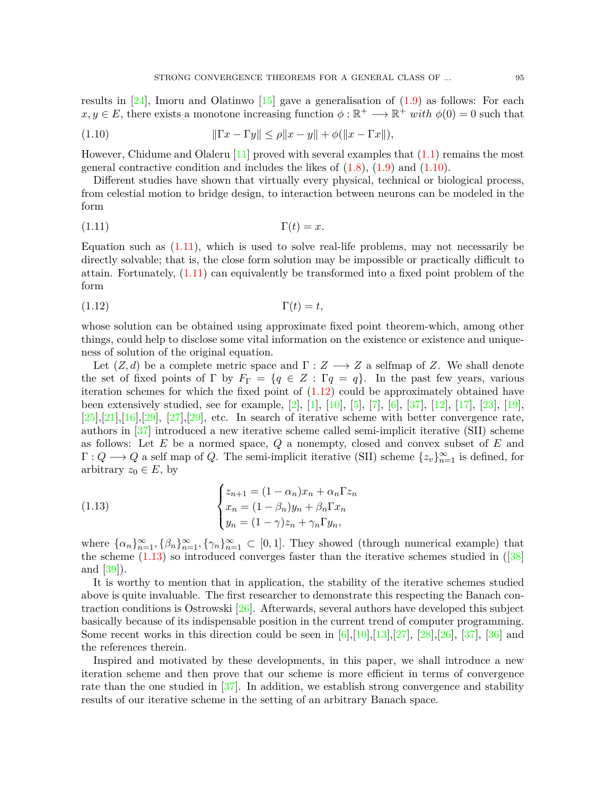results in  $[24]$ , Imoru and Olatinwo  $[15]$  $[15]$  $[15]$  gave a generalisation of  $(1.9)$  $(1.9)$  as follows: For each  $x, y \in E$ , there exists a monotone increasing function  $\phi : \mathbb{R}^+ \longrightarrow \mathbb{R}^+$  *with*  $\phi(0) = 0$  such that

<span id="page-2-0"></span>(1.10) 
$$
\|\Gamma x - \Gamma y\| \le \rho \|x - y\| + \phi(\|x - \Gamma x\|),
$$

However, Chidume and Olaleru  $[11]$  proved with several examples that  $(1.1)$  $(1.1)$  remains the most general contractive condition and includes the likes of  $(1.8)$  $(1.8)$ ,  $(1.9)$  $(1.9)$  and  $(1.10)$ .

Different studies have shown that virtually every physical, technical or biological process, from celestial motion to bridge design, to interaction between neurons can be modeled in the form

<span id="page-2-1"></span>
$$
\Gamma(t) = x.
$$

Equation such as  $(1.11)$  $(1.11)$  $(1.11)$ , which is used to solve real-life problems, may not necessarily be directly solvable; that is, the close form solution may be impossible or practically difficult to attain. Fortunately,  $(1.11)$  $(1.11)$  $(1.11)$  can equivalently be transformed into a fixed point problem of the form

<span id="page-2-2"></span>
$$
\Gamma(t) = t,
$$

whose solution can be obtained using approximate fixed point theorem-which, among other things, could help to disclose some vital information on the existence or existence and uniqueness of solution of the original equation.

Let  $(Z, d)$  be a complete metric space and  $\Gamma : Z \longrightarrow Z$  a selfmap of *Z*. We shall denote the set of fixed points of  $\Gamma$  by  $F_{\Gamma} = \{q \in Z : \Gamma q = q\}$ . In the past few years, various iteration schemes for which the fixed point of  $(1.12)$  $(1.12)$  $(1.12)$  could be approximately obtained have been extensively studied, see for example, [\[2](#page-9-4)], [[1](#page-9-5)], [[10](#page-10-8)], [[5](#page-9-6)], [[7](#page-9-7)], [\[6\]](#page-9-8), [\[37](#page-10-6)], [\[12](#page-10-9)], [[17](#page-10-10)], [[23\]](#page-10-11), [\[19\]](#page-10-12),  $[25],[21],[16],[29], [27],[29],$  $[25],[21],[16],[29], [27],[29],$  $[25],[21],[16],[29], [27],[29],$  $[25],[21],[16],[29], [27],[29],$  $[25],[21],[16],[29], [27],[29],$  $[25],[21],[16],[29], [27],[29],$  $[25],[21],[16],[29], [27],[29],$  $[25],[21],[16],[29], [27],[29],$  $[25],[21],[16],[29], [27],[29],$  $[25],[21],[16],[29], [27],[29],$  $[25],[21],[16],[29], [27],[29],$  $[25],[21],[16],[29], [27],[29],$  etc. In search of iterative scheme with better convergence rate, authors in [[37\]](#page-10-6) introduced a new iterative scheme called semi-implicit iterative (SII) scheme as follows: Let *E* be a normed space, *Q* a nonempty, closed and convex subset of *E* and  $\Gamma: Q \longrightarrow Q$  a self map of *Q*. The semi-implicit iterative (SII) scheme  $\{z_v\}_{v=1}^{\infty}$  is defined, for arbitrary  $z_0 \in E$ , by

<span id="page-2-3"></span>(1.13) 
$$
\begin{cases} z_{n+1} = (1 - \alpha_n)x_n + \alpha_n \Gamma z_n \\ x_n = (1 - \beta_n)y_n + \beta_n \Gamma x_n \\ y_n = (1 - \gamma)z_n + \gamma_n \Gamma y_n, \end{cases}
$$

where  $\{\alpha_n\}_{n=1}^{\infty}, \{\beta_n\}_{n=1}^{\infty}, \{\gamma_n\}_{n=1}^{\infty} \subset [0,1]$ . They showed (through numerical example) that the scheme  $(1.13)$  so introduced converges faster than the iterative schemes studied in  $(38)$ and  $|39|$ ).

It is worthy to mention that in application, the stability of the iterative schemes studied above is quite invaluable. The first researcher to demonstrate this respecting the Banach contraction conditions is Ostrowski  $[26]$  $[26]$  $[26]$ . Afterwards, several authors have developed this subject basically because of its indispensable position in the current trend of computer programming. Some recent works in this direction could be seen in  $[6]$  $[6]$  $[6]$ ,[\[10](#page-10-8)],[\[13](#page-10-19)],[\[27](#page-10-17)], [\[28](#page-10-20)],[\[26](#page-10-18)], [\[37](#page-10-6)], [[36](#page-10-3)] and the references therein.

Inspired and motivated by these developments, in this paper, we shall introduce a new iteration scheme and then prove that our scheme is more efficient in terms of convergence rate than the one studied in [\[37](#page-10-6)]. In addition, we establish strong convergence and stability results of our iterative scheme in the setting of an arbitrary Banach space.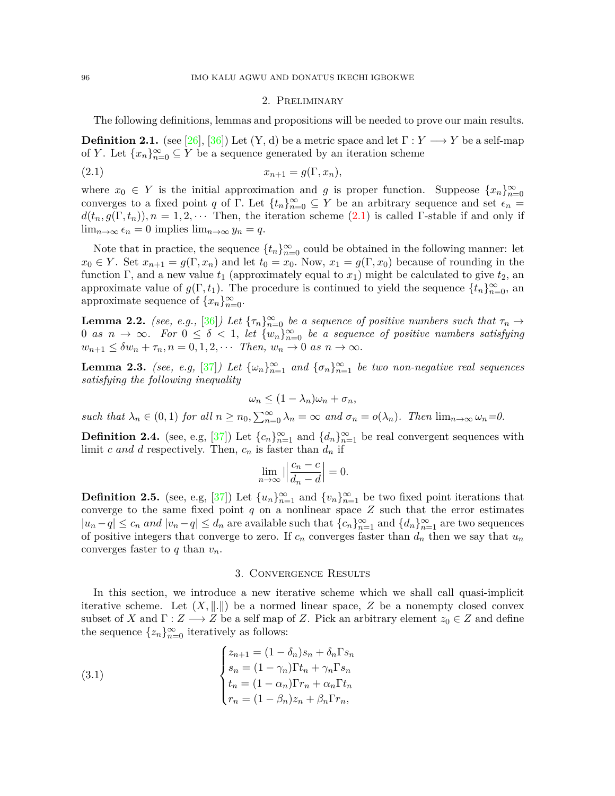#### <span id="page-3-0"></span>2. Preliminary

The following definitions, lemmas and propositions will be needed to prove our main results.

**Definition 2.1.** (see [[26](#page-10-18)], [[36](#page-10-3)]) Let  $(Y, d)$  be a metric space and let  $\Gamma: Y \longrightarrow Y$  be a self-map of *Y*. Let  $\{x_n\}_{n=0}^{\infty} \subseteq Y$  be a sequence generated by an iteration scheme

$$
(2.1) \t\t x_{n+1} = g(\Gamma, x_n),
$$

where  $x_0 \in Y$  is the initial approximation and *g* is proper function. Suppeose  $\{x_n\}_{n=0}^{\infty}$ converges to a fixed point *q* of Γ. Let  $\{t_n\}_{n=0}^{\infty} \subseteq Y$  be an arbitrary sequence and set  $\epsilon_n =$  $d(t_n, g(\Gamma, t_n))$ ,  $n = 1, 2, \cdots$  Then, the iteration scheme ([2.1\)](#page-3-0) is called Γ-stable if and only if lim<sub>*n*→∞</sub>  $\epsilon_n = 0$  implies lim<sub>*n*→∞</sub>  $y_n = q$ .

Note that in practice, the sequence  $\{t_n\}_{n=0}^{\infty}$  could be obtained in the following manner: let  $x_0 \in Y$ . Set  $x_{n+1} = g(\Gamma, x_n)$  and let  $t_0 = x_0$ . Now,  $x_1 = g(\Gamma, x_0)$  because of rounding in the function Γ, and a new value  $t_1$  (approximately equal to  $x_1$ ) might be calculated to give  $t_2$ , an approximate value of  $g(\Gamma, t_1)$ . The procedure is continued to yield the sequence  $\{t_n\}_{n=0}^{\infty}$ , and approximate sequence of  $\{x_n\}_{n=0}^{\infty}$ .

**Lemma 2.2.** *(see, e.g.,* [\[36](#page-10-3)]*)* Let  $\{\tau_n\}_{n=0}^{\infty}$  be a sequence of positive numbers such that  $\tau_n \to$ 0 *as*  $n \to \infty$ . For  $0 \le \delta < 1$ , let  $\{w_n\}_{n=0}^{\infty}$  be a sequence of positive numbers satisfying  $w_{n+1} \leq \delta w_n + \tau_n, n = 0, 1, 2, \cdots$  *Then,*  $w_n \to 0$  *as*  $n \to \infty$ *.* 

**Lemma 2.3.** *(see, e.g,*  $[37]$  $[37]$  $[37]$ *) Let*  $\{\omega_n\}_{n=1}^{\infty}$  *and*  $\{\sigma_n\}_{n=1}^{\infty}$  *be two non-negative real sequences satisfying the following inequality*

$$
\omega_n \le (1 - \lambda_n)\omega_n + \sigma_n,
$$

such that  $\lambda_n \in (0,1)$  for all  $n \ge n_0$ ,  $\sum_{n=0}^{\infty} \lambda_n = \infty$  and  $\sigma_n = o(\lambda_n)$ . Then  $\lim_{n \to \infty} \omega_n = 0$ .

**Definition 2.4.** (see, e.g, [[37\]](#page-10-6)) Let  $\{c_n\}_{n=1}^{\infty}$  and  $\{d_n\}_{n=1}^{\infty}$  be real convergent sequences with limit *c and d* respectively. Then,  $c_n$  is faster than  $d_n$  if

$$
\lim_{n \to \infty} \left| \left| \frac{c_n - c}{d_n - d} \right| \right| = 0.
$$

**Definition 2.5.** (see, e.g, [\[37\]](#page-10-6)) Let  $\{u_n\}_{n=1}^{\infty}$  and  $\{v_n\}_{n=1}^{\infty}$  be two fixed point iterations that converge to the same fixed point  $q$  on a nonlinear space  $Z$  such that the error estimates  $|u_n-q|\leq c_n$  and  $|v_n-q|\leq d_n$  are available such that  $\{c_n\}_{n=1}^{\infty}$  and  $\{d_n\}_{n=1}^{\infty}$  are two sequences of positive integers that converge to zero. If  $c_n$  converges faster than  $d_n$  then we say that  $u_n$ converges faster to *q* than *vn.*

### <span id="page-3-1"></span>3. Convergence Results

In this section, we introduce a new iterative scheme which we shall call quasi-implicit iterative scheme. Let  $(X, \|.\|)$  be a normed linear space, Z be a nonempty closed convex subset of *X* and  $\Gamma: Z \longrightarrow Z$  be a self map of *Z*. Pick an arbitrary element  $z_0 \in Z$  and define the sequence  $\{z_n\}_{n=0}^{\infty}$  iteratively as follows:

(3.1) 
$$
\begin{cases} z_{n+1} = (1 - \delta_n)s_n + \delta_n \Gamma s_n \\ s_n = (1 - \gamma_n)\Gamma t_n + \gamma_n \Gamma s_n \\ t_n = (1 - \alpha_n)\Gamma r_n + \alpha_n \Gamma t_n \\ r_n = (1 - \beta_n)z_n + \beta_n \Gamma r_n, \end{cases}
$$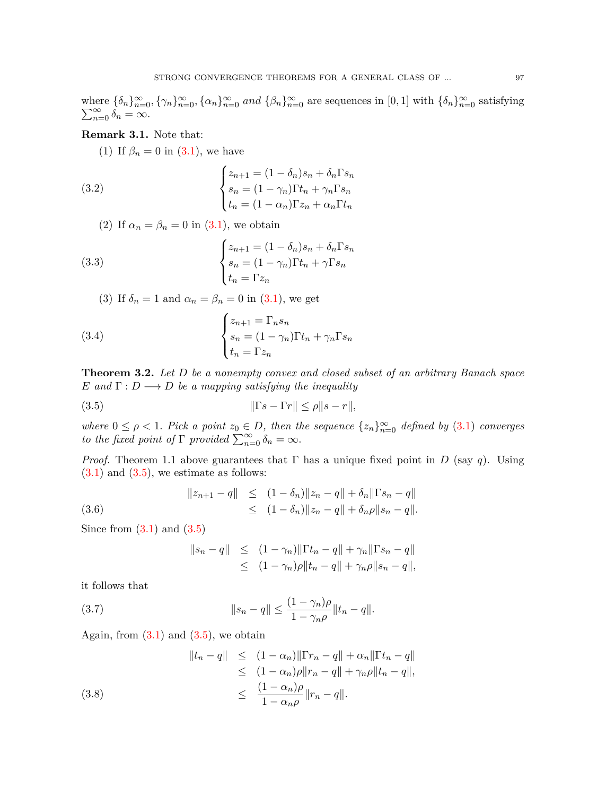where  $\{\delta_n\}_{n=0}^{\infty}$ ,  $\{\gamma_n\}_{n=0}^{\infty}$ ,  $\{\alpha_n\}_{n=0}^{\infty}$  and  $\{\beta_n\}_{n=0}^{\infty}$  are sequences in  $[0, 1]$  with  $\{\delta_n\}_{n=0}^{\infty}$ <br> $\sum_{n=0}^{\infty} \delta_n = \infty$ . satisfying  $\sum_{n=0}^{\infty} \delta_n = \infty.$ 

## **Remark 3.1.** Note that:

<span id="page-4-4"></span>(1) If  $\beta_n = 0$  in ([3.1\)](#page-3-1), we have

(3.2) 
$$
\begin{cases} z_{n+1} = (1 - \delta_n)s_n + \delta_n \Gamma s_n \\ s_n = (1 - \gamma_n)\Gamma t_n + \gamma_n \Gamma s_n \\ t_n = (1 - \alpha_n)\Gamma z_n + \alpha_n \Gamma t_n \end{cases}
$$

<span id="page-4-5"></span>(2) If  $\alpha_n = \beta_n = 0$  in ([3.1\)](#page-3-1), we obtain

(3.3) 
$$
\begin{cases} z_{n+1} = (1 - \delta_n)s_n + \delta_n \Gamma s_n \\ s_n = (1 - \gamma_n) \Gamma t_n + \gamma \Gamma s_n \\ t_n = \Gamma z_n \end{cases}
$$

<span id="page-4-6"></span>(3) If  $\delta_n = 1$  and  $\alpha_n = \beta_n = 0$  in [\(3.1](#page-3-1)), we get

(3.4) 
$$
\begin{cases} z_{n+1} = \Gamma_n s_n \\ s_n = (1 - \gamma_n) \Gamma t_n + \gamma_n \Gamma s_n \\ t_n = \Gamma z_n \end{cases}
$$

**Theorem 3.2.** *Let D be a nonempty convex and closed subset of an arbitrary Banach space E* and  $\Gamma: D \longrightarrow D$  *be a mapping satisfying the inequality* 

$$
||\Gamma s - \Gamma r|| \le \rho ||s - r||,
$$

*where*  $0 \leq \rho < 1$ *. Pick a point*  $z_0 \in D$ *, then the sequence*  $\{z_n\}_{n=0}^{\infty}$  *defined by* ([3.1\)](#page-3-1) *converges to the fixed point of*  $\Gamma$  *provided*  $\sum_{n=0}^{\infty} \delta_n = \infty$ *.* 

*Proof.* Theorem 1.1 above guarantees that  $\Gamma$  has a unique fixed point in *D* (say *q*). Using  $(3.1)$  $(3.1)$  and  $(3.5)$  $(3.5)$  $(3.5)$ , we estimate as follows:

(3.6) 
$$
||z_{n+1} - q|| \leq (1 - \delta_n) ||z_n - q|| + \delta_n ||\Gamma s_n - q||
$$

$$
\leq (1 - \delta_n) ||z_n - q|| + \delta_n \rho ||s_n - q||.
$$

Since from  $(3.1)$  $(3.1)$  $(3.1)$  and  $(3.5)$  $(3.5)$ 

<span id="page-4-3"></span><span id="page-4-2"></span><span id="page-4-1"></span><span id="page-4-0"></span>
$$
||s_n - q|| \le (1 - \gamma_n) ||\Gamma t_n - q|| + \gamma_n ||\Gamma s_n - q||
$$
  
\n
$$
\le (1 - \gamma_n) \rho ||t_n - q|| + \gamma_n \rho ||s_n - q||,
$$

it follows that

(3.7) 
$$
||s_n - q|| \leq \frac{(1 - \gamma_n)\rho}{1 - \gamma_n\rho} ||t_n - q||.
$$

Again, from  $(3.1)$  $(3.1)$  and  $(3.5)$  $(3.5)$ , we obtain

(3.8) 
$$
||t_n - q|| \leq (1 - \alpha_n) ||\Gamma r_n - q|| + \alpha_n ||\Gamma t_n - q|| \leq (1 - \alpha_n)\rho ||r_n - q|| + \gamma_n \rho ||t_n - q||, \leq \frac{(1 - \alpha_n)\rho}{1 - \alpha_n \rho} ||r_n - q||.
$$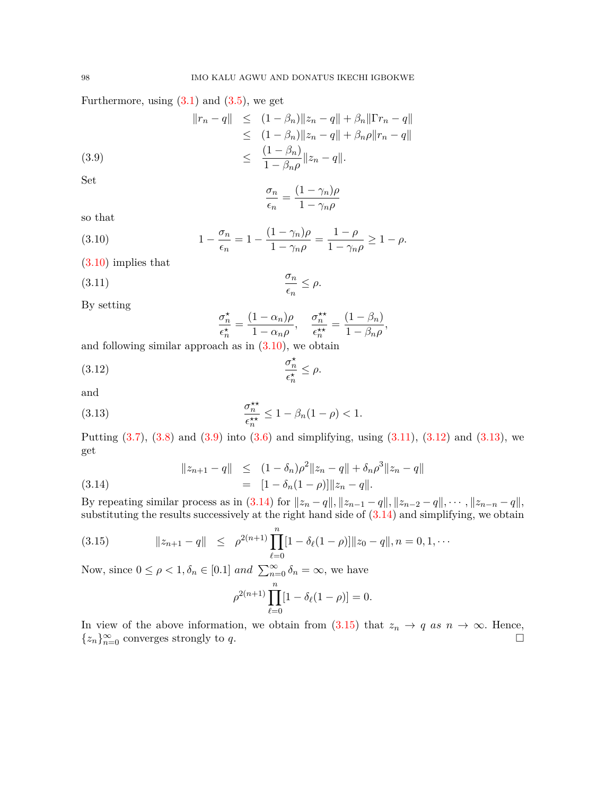Furthermore, using  $(3.1)$  $(3.1)$  and  $(3.5)$  $(3.5)$ , we get

(3.9) 
$$
||r_n - q|| \leq (1 - \beta_n) ||z_n - q|| + \beta_n ||\Gamma r_n - q||
$$

$$
\leq (1 - \beta_n) ||z_n - q|| + \beta_n \rho ||r_n - q||
$$

$$
\leq \frac{(1 - \beta_n)}{1 - \beta_n \rho} ||z_n - q||.
$$

Set

<span id="page-5-1"></span><span id="page-5-0"></span>
$$
\frac{\sigma_n}{\epsilon_n} = \frac{(1 - \gamma_n)\rho}{1 - \gamma_n \rho}
$$

so that

(3.10) 
$$
1 - \frac{\sigma_n}{\epsilon_n} = 1 - \frac{(1 - \gamma_n)\rho}{1 - \gamma_n \rho} = \frac{1 - \rho}{1 - \gamma_n \rho} \ge 1 - \rho.
$$

[\(3.10\)](#page-5-0) implies that

$$
\frac{\sigma_n}{\epsilon_n} \le \rho.
$$

By setting

<span id="page-5-4"></span><span id="page-5-3"></span><span id="page-5-2"></span>
$$
\frac{\sigma_n^{\star}}{\epsilon_n^{\star}} = \frac{(1 - \alpha_n)\rho}{1 - \alpha_n\rho}, \quad \frac{\sigma_n^{\star\star}}{\epsilon_n^{\star\star}} = \frac{(1 - \beta_n)}{1 - \beta_n\rho},
$$

and following similar approach as in  $(3.10)$  $(3.10)$ , we obtain

$$
\frac{\sigma_n^{\star}}{\epsilon_n^{\star}} \le \rho.
$$

and

(3.13) 
$$
\frac{\sigma_n^{\star\star}}{\epsilon_n^{\star\star}} \le 1 - \beta_n (1 - \rho) < 1.
$$

Putting  $(3.7)$  $(3.7)$ ,  $(3.8)$  $(3.8)$  and  $(3.9)$  $(3.9)$  into  $(3.6)$  and simplifying, using  $(3.11)$  $(3.11)$  $(3.11)$ ,  $(3.12)$  $(3.12)$  $(3.12)$  and  $(3.13)$  $(3.13)$  $(3.13)$ , we get

<span id="page-5-5"></span>(3.14) 
$$
||z_{n+1} - q|| \leq (1 - \delta_n)\rho^2 ||z_n - q|| + \delta_n \rho^3 ||z_n - q||
$$

$$
= [1 - \delta_n(1 - \rho)] ||z_n - q||.
$$

By repeating similar process as in [\(3.14\)](#page-5-5) for  $||z_n - q||$ ,  $||z_{n-1} - q||$ ,  $||z_{n-2} - q||$ ,  $\cdots$ ,  $||z_{n-n} - q||$ , substituting the results successively at the right hand side of [\(3.14\)](#page-5-5) and simplifying, we obtain

<span id="page-5-6"></span>(3.15) 
$$
\|z_{n+1} - q\| \leq \rho^{2(n+1)} \prod_{\ell=0}^n [1 - \delta_\ell(1-\rho)] \|z_0 - q\|, n = 0, 1, \cdots
$$

Now, since  $0 \le \rho < 1, \delta_n \in [0.1]$  *and*  $\sum_{n=0}^{\infty} \delta_n = \infty$ , we have

$$
\rho^{2(n+1)} \prod_{\ell=0}^{n} [1 - \delta_{\ell}(1 - \rho)] = 0.
$$

In view of the above information, we obtain from  $(3.15)$  that  $z_n \to q$  as  $n \to \infty$ . Hence,  $\{z_n\}_{n=0}^{\infty}$  converges strongly to *q*. □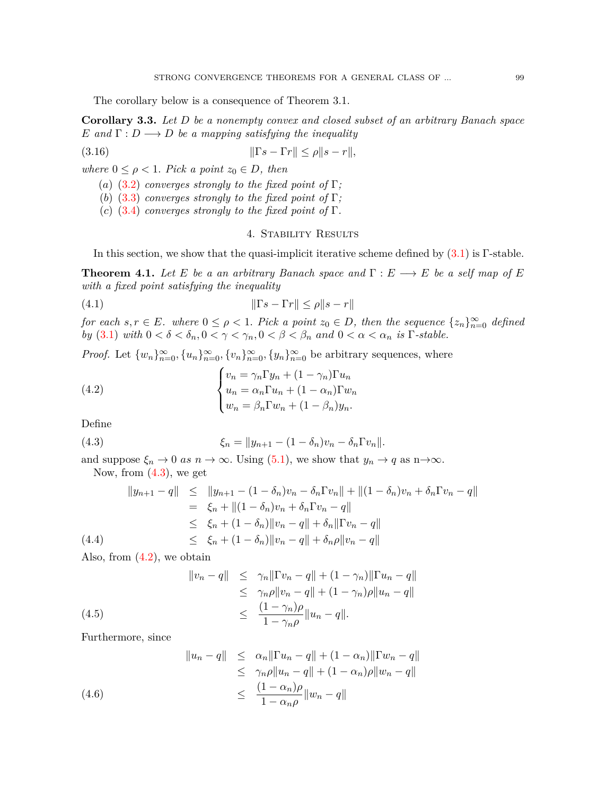The corollary below is a consequence of Theorem 3.1.

**Corollary 3.3.** *Let D be a nonempty convex and closed subset of an arbitrary Banach space E* and  $\Gamma: D \longrightarrow D$  *be a mapping satisfying the inequality* 

$$
||\Gamma s - \Gamma r|| \le \rho ||s - r||,
$$

*where*  $0 \leq \rho < 1$ *. Pick a point*  $z_0 \in D$ *, then* 

(*a*) ([3.2\)](#page-4-4) *converges strongly to the fixed point of*  $\Gamma$ *;* 

(*b*) ([3.3\)](#page-4-5) *converges strongly to the fixed point of*  $\Gamma$ *;* 

(*c*) ([3.4\)](#page-4-6) *converges strongly to the fixed point of*  $\Gamma$ *.* 

## 4. Stability Results

In this section, we show that the quasi-implicit iterative scheme defined by  $(3.1)$  $(3.1)$  is Γ-stable.

**Theorem 4.1.** Let E be a an arbitrary Banach space and  $\Gamma : E \longrightarrow E$  be a self map of E *with a fixed point satisfying the inequality*

$$
(4.1) \t\t\t\t \|\Gamma s - \Gamma r\| \le \rho \|s - r\|
$$

for each  $s,r \in E$ . where  $0 \leq \rho < 1$ . Pick a point  $z_0 \in D$ , then the sequence  $\{z_n\}_{n=0}^{\infty}$  defined *by* ([3.1\)](#page-3-1) *with*  $0 < \delta < \delta_n$ ,  $0 < \gamma < \gamma_n$ ,  $0 < \beta < \beta_n$  and  $0 < \alpha < \alpha_n$  is  $\Gamma$ -stable.

*Proof.* Let  $\{w_n\}_{n=0}^{\infty}, \{u_n\}_{n=0}^{\infty}, \{v_n\}_{n=0}^{\infty}, \{y_n\}_{n=0}^{\infty}$  be arbitrary sequences, where

<span id="page-6-1"></span>(4.2) 
$$
\begin{cases} v_n = \gamma_n \Gamma y_n + (1 - \gamma_n) \Gamma u_n \\ u_n = \alpha_n \Gamma u_n + (1 - \alpha_n) \Gamma w_n \\ w_n = \beta_n \Gamma w_n + (1 - \beta_n) y_n. \end{cases}
$$

Define

<span id="page-6-0"></span>(4.3) 
$$
\xi_n = ||y_{n+1} - (1 - \delta_n)v_n - \delta_n \Gamma v_n||.
$$

and suppose  $\xi_n \to 0$  *as*  $n \to \infty$ . Using [\(5.1](#page-8-0)), we show that  $y_n \to q$  as  $n \to \infty$ . Now, from  $(4.3)$  $(4.3)$ , we get

<span id="page-6-2"></span>
$$
||y_{n+1} - q|| \le ||y_{n+1} - (1 - \delta_n)v_n - \delta_n \Gamma v_n|| + ||(1 - \delta_n)v_n + \delta_n \Gamma v_n - q||
$$
  
=  $\xi_n + ||(1 - \delta_n)v_n + \delta_n \Gamma v_n - q||$   
 $\le \xi_n + (1 - \delta_n) ||v_n - q|| + \delta_n ||\Gamma v_n - q||$   
(4.4)  
 $\le \xi_n + (1 - \delta_n) ||v_n - q|| + \delta_n \rho ||v_n - q||$ 

Also, from  $(4.2)$  $(4.2)$ , we obtain

<span id="page-6-3"></span>(4.5) 
$$
||v_n - q|| \leq \gamma_n ||\Gamma v_n - q|| + (1 - \gamma_n) ||\Gamma u_n - q||
$$

$$
\leq \gamma_n \rho ||v_n - q|| + (1 - \gamma_n) \rho ||u_n - q||
$$

$$
\leq \frac{(1 - \gamma_n)\rho}{1 - \gamma_n \rho} ||u_n - q||.
$$

Furthermore, since

<span id="page-6-4"></span>(4.6) 
$$
||u_n - q|| \leq \alpha_n ||\Gamma u_n - q|| + (1 - \alpha_n) ||\Gamma w_n - q||
$$

$$
\leq \gamma_n \rho ||u_n - q|| + (1 - \alpha_n) \rho ||w_n - q||
$$

$$
\leq \frac{(1 - \alpha_n)\rho}{1 - \alpha_n \rho} ||w_n - q||
$$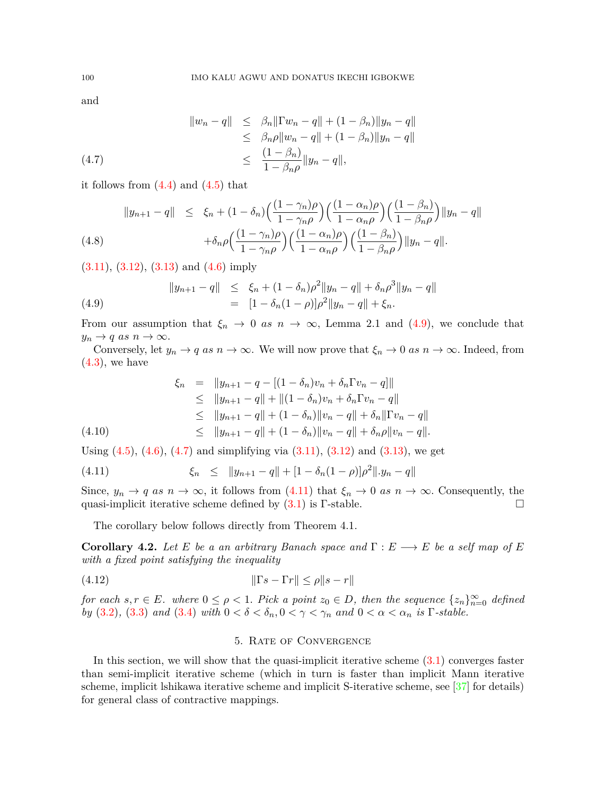and

<span id="page-7-1"></span>
$$
||w_n - q|| \leq \beta_n ||\Gamma w_n - q|| + (1 - \beta_n) ||y_n - q||
$$
  
\n
$$
\leq \beta_n \rho ||w_n - q|| + (1 - \beta_n) ||y_n - q||
$$
  
\n
$$
\leq \frac{(1 - \beta_n)}{1 - \beta_n \rho} ||y_n - q||,
$$
  
\n(4.7)

it follows from  $(4.4)$  $(4.4)$  and  $(4.5)$  that

$$
||y_{n+1} - q|| \leq \xi_n + (1 - \delta_n) \left(\frac{(1 - \gamma_n)\rho}{1 - \gamma_n \rho}\right) \left(\frac{(1 - \alpha_n)\rho}{1 - \alpha_n \rho}\right) \left(\frac{(1 - \beta_n)}{1 - \beta_n \rho}\right) ||y_n - q||
$$
  
(4.8)  

$$
+ \delta_n \rho \left(\frac{(1 - \gamma_n)\rho}{1 - \gamma_n \rho}\right) \left(\frac{(1 - \alpha_n)\rho}{1 - \alpha_n \rho}\right) \left(\frac{(1 - \beta_n)}{1 - \beta_n \rho}\right) ||y_n - q||.
$$

 $(3.11), (3.12), (3.13)$  $(3.11), (3.12), (3.13)$  $(3.11), (3.12), (3.13)$  $(3.11), (3.12), (3.13)$  $(3.11), (3.12), (3.13)$  and  $(4.6)$  $(4.6)$  imply

<span id="page-7-0"></span>(4.9) 
$$
||y_{n+1} - q|| \leq \xi_n + (1 - \delta_n)\rho^2 ||y_n - q|| + \delta_n \rho^3 ||y_n - q||
$$

$$
= [1 - \delta_n(1 - \rho)]\rho^2 ||y_n - q|| + \xi_n.
$$

From our assumption that  $\xi_n \to 0$  *as*  $n \to \infty$ , Lemma 2.1 and [\(4.9](#page-7-0)), we conclude that  $y_n \to q$  *as*  $n \to \infty$ .

Conversely, let  $y_n \to q$  *as*  $n \to \infty$ . We will now prove that  $\xi_n \to 0$  *as*  $n \to \infty$ . Indeed, from  $(4.3)$  $(4.3)$ , we have

$$
\xi_n = \|y_{n+1} - q - [(1 - \delta_n)v_n + \delta_n \Gamma v_n - q]\|
$$
  
\n
$$
\leq \|y_{n+1} - q\| + \|(1 - \delta_n)v_n + \delta_n \Gamma v_n - q\|
$$
  
\n
$$
\leq \|y_{n+1} - q\| + (1 - \delta_n) \|v_n - q\| + \delta_n \|\Gamma v_n - q\|
$$
  
\n
$$
\leq \|y_{n+1} - q\| + (1 - \delta_n) \|v_n - q\| + \delta_n \rho \|v_n - q\|.
$$
  
\n(4.10)

Using  $(4.5)$  $(4.5)$ ,  $(4.6)$  $(4.6)$ ,  $(4.7)$  $(4.7)$  and simplifying via  $(3.11)$  $(3.11)$ ,  $(3.12)$  $(3.12)$  $(3.12)$  and  $(3.13)$ , we get

<span id="page-7-2"></span>(4.11) 
$$
\xi_n \leq ||y_{n+1} - q|| + [1 - \delta_n(1 - \rho)]\rho^2 ||y_n - q||
$$

Since,  $y_n \to q$  *as*  $n \to \infty$ , it follows from [\(4.11\)](#page-7-2) that  $\xi_n \to 0$  *as*  $n \to \infty$ . Consequently, the quasi-implicit iterative scheme defined by  $(3.1)$  $(3.1)$  is Γ-stable.  $\Box$ 

The corollary below follows directly from Theorem 4.1.

**Corollary 4.2.** *Let E be a an arbitrary Banach space and*  $\Gamma : E \longrightarrow E$  *be a self map of E with a fixed point satisfying the inequality*

(4.12) *∥*Γ*s −* Γ*r∥ ≤ ρ∥s − r∥*

for each  $s,r \in E$ . where  $0 \leq \rho < 1$ . Pick a point  $z_0 \in D$ , then the sequence  $\{z_n\}_{n=0}^{\infty}$  defined *by* ([3.2\)](#page-4-4), [\(3.3](#page-4-5)) *and* ([3.4](#page-4-6)) *with*  $0 < \delta < \delta_n, 0 < \gamma < \gamma_n$  *and*  $0 < \alpha < \alpha_n$  *is*  $\Gamma\text{-stable}$ .

# 5. Rate of Convergence

In this section, we will show that the quasi-implicit iterative scheme [\(3.1](#page-3-1)) converges faster than semi-implicit iterative scheme (which in turn is faster than implicit Mann iterative scheme, implicit lshikawa iterative scheme and implicit S-iterative scheme, see [[37\]](#page-10-6) for details) for general class of contractive mappings.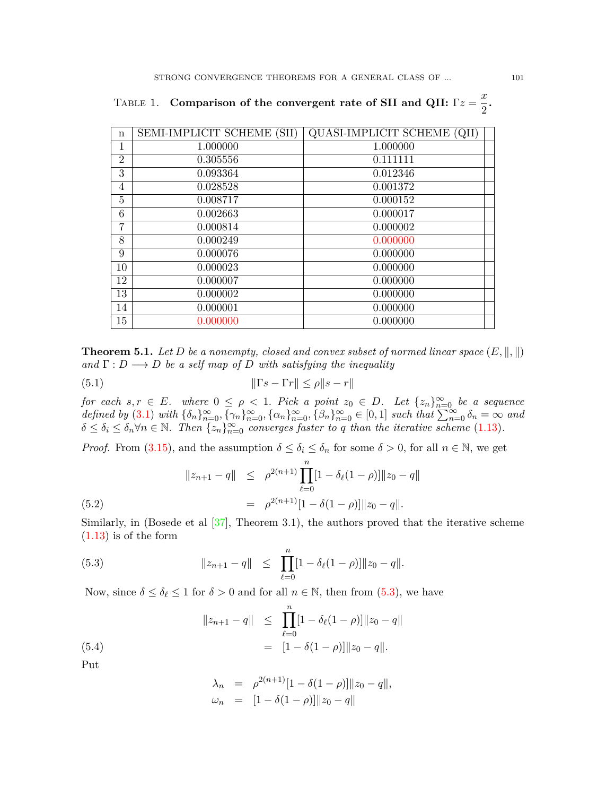| $\mathbf n$    | <b>SEMI-IMPLICIT SCHEME (SII)</b> | QUASI-IMPLICIT SCHEME (QII) |
|----------------|-----------------------------------|-----------------------------|
| 1              | 1.000000                          | 1.000000                    |
| $\overline{2}$ | 0.305556                          | 0.111111                    |
| 3              | 0.093364                          | 0.012346                    |
| $\overline{4}$ | 0.028528                          | 0.001372                    |
| 5              | 0.008717                          | 0.000152                    |
| 6              | 0.002663                          | 0.000017                    |
| $\overline{7}$ | 0.000814                          | 0.000002                    |
| 8              | 0.000249                          | 0.000000                    |
| 9              | 0.000076                          | 0.000000                    |
| 10             | 0.000023                          | 0.000000                    |
| 12             | 0.000007                          | 0.000000                    |
| 13             | 0.000002                          | 0.000000                    |
| 14             | 0.000001                          | 0.000000                    |
| 15             | 0.000000                          | 0.000000                    |

TABLE 1. **Comparison of the convergent rate of SII and QII:**  $\Gamma z = \frac{x}{2}$  $\frac{x}{2}$ .

**Theorem 5.1.** *Let D be a nonempty, closed and convex subset of normed linear space*  $(E, \|\, \|)$  $\mathbf{a} \cdot \mathbf{b} \cdot \mathbf{b} \cdot \mathbf{c} \cdot \mathbf{c}$  *D be a self map of D with satisfying the inequality* 

<span id="page-8-0"></span>
$$
||\Gamma s - \Gamma r|| \le \rho ||s - r||
$$

*for each*  $s, r \in E$ *. where*  $0 \leq \rho < 1$ *. Pick a point*  $z_0 \in D$ *. Let*  $\{z_n\}_{n=0}^{\infty}$  *be a sequence* defined by ([3.1\)](#page-3-1) with  $\{\delta_n\}_{n=0}^{\infty}, \{\gamma_n\}_{n=0}^{\infty}, \{\alpha_n\}_{n=0}^{\infty}, \{\beta_n\}_{n=0}^{\infty} \in [0,1]$  such that  $\sum_{n=0}^{\infty}, \delta_n = \infty$  and  $\delta \leq \delta_i \leq \delta_n \forall n \in \mathbb{N}$ . Then  $\{z_n\}_{n=0}^{\infty}$  converges faster to q than the iterative scheme [\(1.13](#page-2-3)).

*Proof.* From ([3.15](#page-5-6)), and the assumption  $\delta \leq \delta_i \leq \delta_n$  for some  $\delta > 0$ , for all  $n \in \mathbb{N}$ , we get

(5.2)  
\n
$$
||z_{n+1} - q|| \leq \rho^{2(n+1)} \prod_{\ell=0}^{n} [1 - \delta_{\ell} (1 - \rho)] ||z_0 - q||
$$
\n
$$
= \rho^{2(n+1)} [1 - \delta (1 - \rho)] ||z_0 - q||.
$$

Similarly, in (Bosede et al  $[37]$ , Theorem 3.1), the authors proved that the iterative scheme  $(1.13)$  is of the form

<span id="page-8-1"></span>(5.3) 
$$
||z_{n+1} - q|| \le \prod_{\ell=0}^n [1 - \delta_\ell(1-\rho)] ||z_0 - q||.
$$

Now, since  $\delta \leq \delta_{\ell} \leq 1$  for  $\delta > 0$  and for all  $n \in \mathbb{N}$ , then from [\(5.3](#page-8-1)), we have

(5.4) 
$$
||z_{n+1} - q|| \le \prod_{\ell=0}^{n} [1 - \delta_{\ell}(1 - \rho)] ||z_0 - q||
$$

$$
= [1 - \delta(1 - \rho)] ||z_0 - q||.
$$

Put

$$
\lambda_n = \rho^{2(n+1)}[1 - \delta(1 - \rho)] ||z_0 - q||,
$$
  
\n
$$
\omega_n = [1 - \delta(1 - \rho)] ||z_0 - q||
$$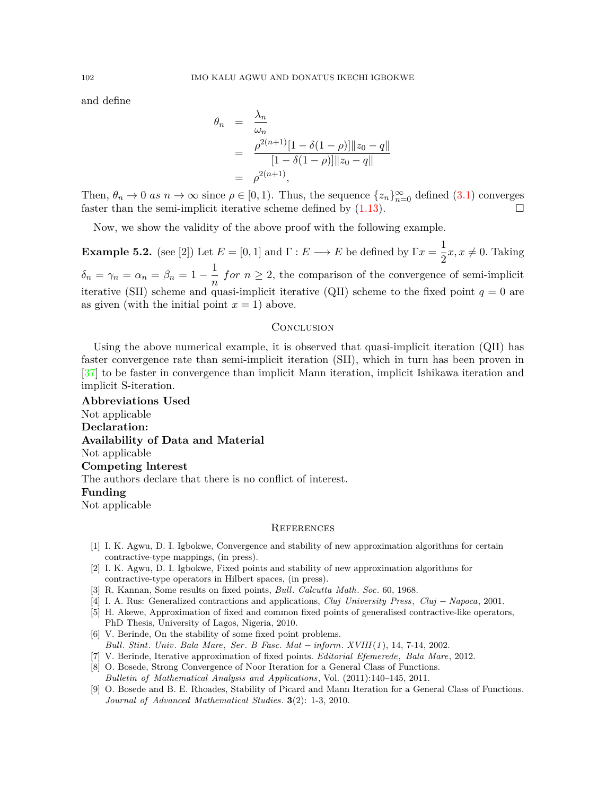and define

$$
\theta_n = \frac{\lambda_n}{\omega_n}
$$
  
= 
$$
\frac{\rho^{2(n+1)}[1 - \delta(1-\rho)] ||z_0 - q||}{[1 - \delta(1-\rho)] ||z_0 - q||}
$$
  
= 
$$
\rho^{2(n+1)},
$$

Then,  $\theta_n \to 0$  *as*  $n \to \infty$  since  $\rho \in [0,1)$ . Thus, the sequence  $\{z_n\}_{n=0}^{\infty}$  defined  $(3.1)$  $(3.1)$  converges faster than the semi-implicit iterative scheme defined by  $(1.13)$  $(1.13)$ .

Now, we show the validity of the above proof with the following example.

**Example 5.2.** (see [2]) Let  $E = [0, 1]$  and  $\Gamma : E \longrightarrow E$  be defined by  $\Gamma x = \frac{1}{2}$  $\frac{1}{2}x, x \neq 0$ . Taking  $\delta_n = \gamma_n = \alpha_n = \beta_n = 1 - \frac{1}{n}$  $\frac{1}{n}$  *for*  $n \geq 2$ , the comparison of the convergence of semi-implicit iterative (SII) scheme and quasi-implicit iterative (QII) scheme to the fixed point  $q = 0$  are as given (with the initial point  $x = 1$ ) above.

### **CONCLUSION**

Using the above numerical example, it is observed that quasi-implicit iteration (QII) has faster convergence rate than semi-implicit iteration (SII), which in turn has been proven in [\[37\]](#page-10-6) to be faster in convergence than implicit Mann iteration, implicit Ishikawa iteration and implicit S-iteration.

**Abbreviations Used** Not applicable **Declaration: Availability of Data and Material** Not applicable **Competing lnterest** The authors declare that there is no conflict of interest. **Funding** Not applicable

### **REFERENCES**

- <span id="page-9-5"></span>[1] I. K. Agwu, D. I. Igbokwe, Convergence and stability of new approximation algorithms for certain contractive-type mappings, (in press).
- <span id="page-9-4"></span>[2] I. K. Agwu, D. I. Igbokwe, Fixed points and stability of new approximation algorithms for contractive-type operators in Hilbert spaces, (in press).
- <span id="page-9-0"></span>[3] R. Kannan, Some results on fixed points, *Bull. Calcutta Math. Soc.* 60, 1968.
- <span id="page-9-1"></span>[4] I. A. Rus: Generalized contractions and applications, *Cluj University Press, Cluj − Napoca*, 2001.
- <span id="page-9-6"></span>[5] H. Akewe, Approximation of fixed and common fixed points of generalised contractive-like operators, PhD Thesis, University of Lagos, Nigeria, 2010.
- <span id="page-9-8"></span>[6] V. Berinde, On the stability of some fixed point problems. *Bull. Stint. Univ. Bala Mare, Ser . B Fasc. Mat − inform. XVIII*(*1* ), 14, 7-14, 2002.
- <span id="page-9-7"></span>[7] V. Berinde, Iterative approximation of fixed points. *Editorial Efemerede, Bala Mare,* 2012.
- <span id="page-9-2"></span>[8] O. Bosede, Strong Convergence of Noor Iteration for a General Class of Functions. *Bulletin of Mathematical Analysis and Applications*, Vol. (2011):140–145, 2011.
- <span id="page-9-3"></span>[9] O. Bosede and B. E. Rhoades, Stability of Picard and Mann Iteration for a General Class of Functions. *Journal of Advanced Mathematical Studies*. **3**(2): 1-3, 2010.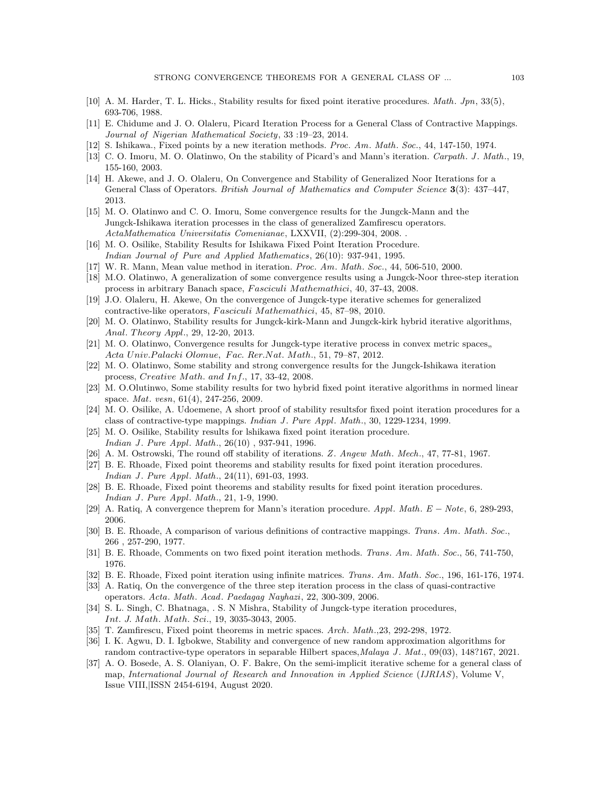- <span id="page-10-8"></span>[10] A. M. Harder, T. L. Hicks., Stability results for fixed point iterative procedures. *Math. Jpn,* 33(5), 693-706, 1988.
- <span id="page-10-1"></span>[11] E. Chidume and J. O. Olaleru, Picard Iteration Process for a General Class of Contractive Mappings. *Journal of Nigerian Mathematical Society*, 33 :19–23, 2014.
- <span id="page-10-9"></span>[12] S. Ishikawa., Fixed points by a new iteration methods. *Proc. Am. Math. Soc.*, 44, 147-150, 1974.
- <span id="page-10-19"></span>[13] C. O. Imoru, M. O. Olatinwo, On the stability of Picard's and Mann's iteration. *Carpath. J . Math.*, 19, 155-160, 2003.
- <span id="page-10-2"></span>[14] H. Akewe, and J. O. Olaleru, On Convergence and Stability of Generalized Noor Iterations for a General Class of Operators. *British Journal of Mathematics and Computer Science* **3**(3): 437–447, 2013.
- <span id="page-10-4"></span>[15] M. O. Olatinwo and C. O. Imoru, Some convergence results for the Jungck-Mann and the Jungck-Ishikawa iteration processes in the class of generalized Zamfirescu operators. *ActaMathematica Universitatis Comenianae*, LXXVII, (2):299-304, 2008. .
- <span id="page-10-15"></span>[16] M. O. Osilike, Stability Results for Ishikawa Fixed Point Iteration Procedure. *Indian Journal of Pure and Applied Mathematics*, 26(10): 937-941, 1995.
- <span id="page-10-10"></span>[17] W. R. Mann, Mean value method in iteration. *Proc. Am. Math. Soc.*, 44, 506-510, 2000.
- [18] M.O. Olatinwo, A generalization of some convergence results using a Jungck-Noor three-step iteration process in arbitrary Banach space, *F asciculi Mathemathici*, 40, 37-43, 2008.
- <span id="page-10-12"></span>[19] J.O. Olaleru, H. Akewe, On the convergence of Jungck-type iterative schemes for generalized contractive-like operators, *F asciculi Mathemathici*, 45, 87–98, 2010.
- [20] M. O. Olatinwo, Stability results for Jungck-kirk-Mann and Jungck-kirk hybrid iterative algorithms, *Anal. T heory Appl.*, 29, 12-20, 2013.
- <span id="page-10-14"></span>[21] M. O. Olatinwo, Convergence results for Jungck-type iterative process in convex metric spaces, *Acta Univ.P alacki Olomue, F ac. Rer.Nat. Math.*, 51, 79–87, 2012.
- [22] M. O. Olatinwo, Some stability and strong convergence results for the Jungck-Ishikawa iteration process, *Creative Math. and Inf.*, 17, 33-42, 2008.
- <span id="page-10-11"></span>[23] M. O.Olutinwo, Some stability results for two hybrid fixed point iterative algorithms in normed linear space. *Mat. vesn*, 61(4), 247-256, 2009.
- <span id="page-10-5"></span>[24] M. O. Osilike, A. Udoemene, A short proof of stability resultsfor fixed point iteration procedures for a class of contractive-type mappings. *Indian J . Pure Appl. Math.*, 30, 1229-1234, 1999.
- <span id="page-10-13"></span>[25] M. O. Osilike, Stability results for lshikawa fixed point iteration procedure. *Indian J . Pure Appl. Math.*, 26(10) , 937-941, 1996.
- <span id="page-10-18"></span>[26] A. M. Ostrowski, The round off stability of iterations. *Z. Angew Math. Mech.*, 47, 77-81, 1967.
- <span id="page-10-17"></span>[27] B. E. Rhoade, Fixed point theorems and stability results for fixed point iteration procedures. *Indian J . Pure Appl. Math.*, 24(11), 691-03, 1993.
- <span id="page-10-20"></span>[28] B. E. Rhoade, Fixed point theorems and stability results for fixed point iteration procedures. *Indian J . Pure Appl. Math.*, 21, 1-9, 1990.
- <span id="page-10-16"></span>[29] A. Ratiq, A convergence theprem for Mann's iteration procedure. *Appl. Math. E − Note*, 6, 289-293, 2006.
- <span id="page-10-7"></span>[30] B. E. Rhoade, A comparison of various definitions of contractive mappings. *Trans. Am. Math. Soc.*, 266 , 257-290, 1977.
- [31] B. E. Rhoade, Comments on two fixed point iteration methods. *Trans. Am. Math. Soc.*, 56, 741-750, 1976.
- [32] B. E. Rhoade, Fixed point iteration using infinite matrices. *Trans. Am. Math. Soc.*, 196, 161-176, 1974.
- [33] A. Ratiq, On the convergence of the three step iteration process in the class of quasi-contractive operators. *Acta. Math. Acad. Paedagag Nayhazi*, 22, 300-309, 2006.
- [34] S. L. Singh, C. Bhatnaga, . S. N Mishra, Stability of Jungck-type iteration procedures, *Int. J. Math. Math. Sci.*, 19, 3035-3043, 2005.
- <span id="page-10-0"></span>[35] T. Zamfirescu, Fixed point theorems in metric spaces. *Arch. Math.,*23, 292-298, 1972.
- <span id="page-10-3"></span>[36] I. K. Agwu, D. I. Igbokwe, Stability and convergence of new random approximation algorithms for random contractive-type operators in separable Hilbert spaces,*Malaya J . Mat.,* 09(03), 148?167, 2021.
- <span id="page-10-6"></span>[37] A. O. Bosede, A. S. Olaniyan, O. F. Bakre, On the semi-implicit iterative scheme for a general class of map, *International Journal of Research and Innovation in Applied Science* (*IJRIAS*), Volume V, Issue VIII,|ISSN 2454-6194, August 2020.